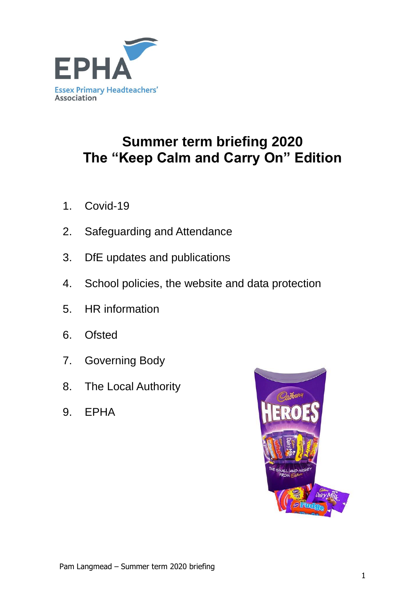

# **Summer term briefing 2020 The "Keep Calm and Carry On" Edition**

- 1. Covid-19
- 2. Safeguarding and Attendance
- 3. DfE updates and publications
- 4. School policies, the website and data protection
- 5. HR information
- 6. Ofsted
- 7. Governing Body
- 8. The Local Authority
- 9. EPHA

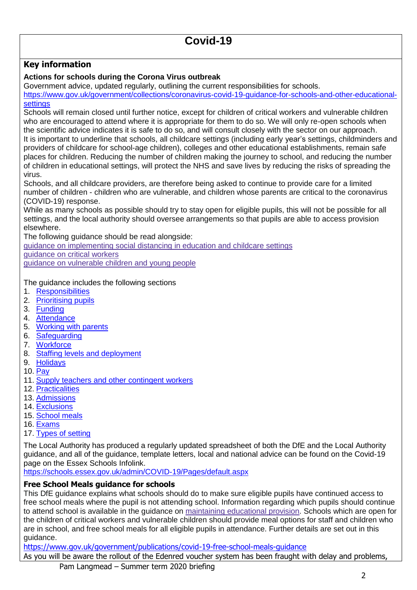## **Key information**

#### **Actions for schools during the Corona Virus outbreak**

Government advice, updated regularly, outlining the current responsibilities for schools.

[https://www.gov.uk/government/collections/coronavirus-covid-19-guidance-for-schools-and-other-educational](https://www.gov.uk/government/collections/coronavirus-covid-19-guidance-for-schools-and-other-educational-settings)**[settings](https://www.gov.uk/government/collections/coronavirus-covid-19-guidance-for-schools-and-other-educational-settings)** 

Schools will remain closed until further notice, except for children of critical workers and vulnerable children who are encouraged to attend where it is appropriate for them to do so. We will only re-open schools when the scientific advice indicates it is safe to do so, and will consult closely with the sector on our approach. It is important to underline that schools, all childcare settings (including early year's settings, childminders and providers of childcare for school-age children), colleges and other educational establishments, remain safe places for children. Reducing the number of children making the journey to school, and reducing the number of children in educational settings, will protect the NHS and save lives by reducing the risks of spreading the virus.

Schools, and all childcare providers, are therefore being asked to continue to provide care for a limited number of children - children who are vulnerable, and children whose parents are critical to the coronavirus (COVID-19) response.

While as many schools as possible should try to stay open for eligible pupils, this will not be possible for all settings, and the local authority should oversee arrangements so that pupils are able to access provision elsewhere.

The following guidance should be read alongside:

guidance on [implementing](https://www.gov.uk/government/publications/coronavirus-covid-19-implementing-social-distancing-in-education-and-childcare-settings) social distancing in education and childcare settings [guidance](https://www.gov.uk/government/publications/coronavirus-covid-19-maintaining-educational-provision/guidance-for-schools-colleges-and-local-authorities-on-maintaining-educational-provision) on critical workers guidance on [vulnerable](https://www.gov.uk/government/publications/coronavirus-covid-19-guidance-on-vulnerable-children-and-young-people) children and young people

The guidance includes the following sections

- 1. [Responsibilities](https://www.gov.uk/government/publications/covid-19-school-closures/guidance-for-schools-about-temporarily-closing#responsibilities)
- 2. [Prioritising pupils](https://www.gov.uk/government/publications/covid-19-school-closures/guidance-for-schools-about-temporarily-closing#prioritising-pupils)
- 3. [Funding](https://www.gov.uk/government/publications/covid-19-school-closures/guidance-for-schools-about-temporarily-closing#funding)
- 4. [Attendance](https://www.gov.uk/government/publications/covid-19-school-closures/guidance-for-schools-about-temporarily-closing#attendance)
- 5. [Working with parents](https://www.gov.uk/government/publications/covid-19-school-closures/guidance-for-schools-about-temporarily-closing#working-with-parents)
- 6. [Safeguarding](https://www.gov.uk/government/publications/covid-19-school-closures/guidance-for-schools-about-temporarily-closing#safeguarding)
- 7. [Workforce](https://www.gov.uk/government/publications/covid-19-school-closures/guidance-for-schools-about-temporarily-closing#workforce)
- 8. [Staffing levels and deployment](https://www.gov.uk/government/publications/covid-19-school-closures/guidance-for-schools-about-temporarily-closing#staffing-levels-and-deployment)
- 9. [Holidays](https://www.gov.uk/government/publications/covid-19-school-closures/guidance-for-schools-about-temporarily-closing#holidays)
- 10. [Pay](https://www.gov.uk/government/publications/covid-19-school-closures/guidance-for-schools-about-temporarily-closing#pay)
- 11. [Supply teachers and other contingent workers](https://www.gov.uk/government/publications/covid-19-school-closures/guidance-for-schools-about-temporarily-closing#supply-teachers-and-other-contingent-workers)
- 12. [Practicalities](https://www.gov.uk/government/publications/covid-19-school-closures/guidance-for-schools-about-temporarily-closing#practicalities)
- 13. [Admissions](https://www.gov.uk/government/publications/covid-19-school-closures/guidance-for-schools-about-temporarily-closing#admissions)
- 14. [Exclusions](https://www.gov.uk/government/publications/covid-19-school-closures/guidance-for-schools-about-temporarily-closing#exclusions)
- 15. [School meals](https://www.gov.uk/government/publications/covid-19-school-closures/guidance-for-schools-about-temporarily-closing#school-meals)
- 16. [Exams](https://www.gov.uk/government/publications/covid-19-school-closures/guidance-for-schools-about-temporarily-closing#exams)
- 17. [Types of setting](https://www.gov.uk/government/publications/covid-19-school-closures/guidance-for-schools-about-temporarily-closing#types-of-setting)

The Local Authority has produced a regularly updated spreadsheet of both the DfE and the Local Authority guidance, and all of the guidance, template letters, local and national advice can be found on the Covid-19 page on the Essex Schools Infolink.

<https://schools.essex.gov.uk/admin/COVID-19/Pages/default.aspx>

## **Free School Meals guidance for schools**

This DfE guidance explains what schools should do to make sure eligible pupils have continued access to free school meals where the pupil is not attending school. Information regarding which pupils should continue to attend school is available in the guidance on maintaining [educational](https://www.gov.uk/government/publications/coronavirus-covid-19-maintaining-educational-provision) provision. Schools which are open for the children of critical workers and vulnerable children should provide meal options for staff and children who are in school, and free school meals for all eligible pupils in attendance. Further details are set out in this guidance.

<https://www.gov.uk/government/publications/covid-19-free-school-meals-guidance>

As you will be aware the rollout of the Edenred voucher system has been fraught with delay and problems,

Pam Langmead – Summer term 2020 briefing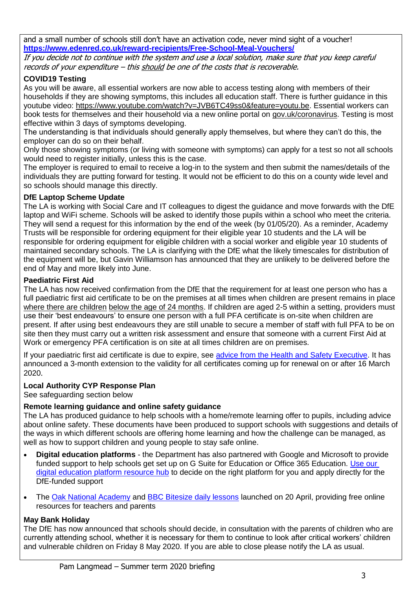and a small number of schools still don't have an activation code, never mind sight of a voucher! **<https://www.edenred.co.uk/reward-recipients/Free-School-Meal-Vouchers/>**

If you decide not to continue with the system and use a local solution, make sure that you keep careful records of your expenditure – this should be one of the costs that is recoverable.

# **COVID19 Testing**

As you will be aware, all essential workers are now able to access testing along with members of their households if they are showing symptoms, this includes all education staff. There is further guidance in this youtube video: [https://www.youtube.com/watch?v=JVB6TC49ss0&feature=youtu.be.](https://eur02.safelinks.protection.outlook.com/?url=https%3A%2F%2Fwww.youtube.com%2Fwatch%3Fv%3DJVB6TC49ss0%26feature%3Dyoutu.be&data=02%7C01%7C%7C72461b113a6e40ff546c08d7eb3fb2d5%7Ca8b4324f155c4215a0f17ed8cc9a992f%7C0%7C0%7C637236531573731179&sdata=%2Fd6%2FYBDqDwELputdeLj2N4sbZATvFfrbg%2FjDny2pRro%3D&reserved=0) Essential workers can book tests for themselves and their household via a new online portal on [gov.uk/coronavirus.](https://eur02.safelinks.protection.outlook.com/?url=http%3A%2F%2Fgov.uk%2Fcoronavirus&data=02%7C01%7C%7C72461b113a6e40ff546c08d7eb3fb2d5%7Ca8b4324f155c4215a0f17ed8cc9a992f%7C0%7C0%7C637236531573741175&sdata=Bg6GW4c4D581XKj2NPymyYBOjFjjuroftFmn4rm%2B5bg%3D&reserved=0) Testing is most effective within 3 days of symptoms developing.

The understanding is that individuals should generally apply themselves, but where they can't do this, the employer can do so on their behalf.

Only those showing symptoms (or living with someone with symptoms) can apply for a test so not all schools would need to register initially, unless this is the case.

The employer is required to email to receive a log-in to the system and then submit the names/details of the individuals they are putting forward for testing. It would not be efficient to do this on a county wide level and so schools should manage this directly.

#### **DfE Laptop Scheme Update**

The LA is working with Social Care and IT colleagues to digest the guidance and move forwards with the DfE laptop and WiFi scheme. Schools will be asked to identify those pupils within a school who meet the criteria. They will send a request for this information by the end of the week (by 01/05/20). As a reminder, Academy Trusts will be responsible for ordering equipment for their eligible year 10 students and the LA will be responsible for ordering equipment for eligible children with a social worker and eligible year 10 students of maintained secondary schools. The LA is clarifying with the DfE what the likely timescales for distribution of the equipment will be, but Gavin Williamson has announced that they are unlikely to be delivered before the end of May and more likely into June.

#### **Paediatric First Aid**

The LA has now received confirmation from the DfE that the requirement for at least one person who has a full paediatric first aid certificate to be on the premises at all times when children are present remains in place where there are children below the age of 24 months. If children are aged 2-5 within a setting, providers must use their 'best endeavours' to ensure one person with a full PFA certificate is on-site when children are present. If after using best endeavours they are still unable to secure a member of staff with full PFA to be on site then they must carry out a written risk assessment and ensure that someone with a current First Aid at Work or emergency PFA certification is on site at all times children are on premises.

If your paediatric first aid certificate is due to expire, see [advice from the Health and Safety Executive.](https://www.sja.org.uk/course-information/covid-19/#hse) It has announced a 3-month extension to the validity for all certificates coming up for renewal on or after 16 March 2020.

#### **Local Authority CYP Response Plan**

See safeguarding section below

#### **Remote learning guidance and online safety guidance**

The LA has produced guidance to help schools with a home/remote learning offer to pupils, including advice about online safety. These documents have been produced to support schools with suggestions and details of the ways in which different schools are offering home learning and how the challenge can be managed, as well as how to support children and young people to stay safe online.

- **Digital education platforms** the Department has also partnered with Google and Microsoft to provide funded support to help schools get set up on G Suite for Education or Office 365 Education. [Use our](https://schoolleaders.thekeysupport.com/covid-19/deliver-remote-learning/make-tech-work-you/digital-education-platform-hub/?marker=content-body)  [digital education platform resource hub](https://schoolleaders.thekeysupport.com/covid-19/deliver-remote-learning/make-tech-work-you/digital-education-platform-hub/?marker=content-body) to decide on the right platform for you and apply directly for the DfE-funded support
- The [Oak National Academy](https://www.thenational.academy/) and [BBC Bitesize daily lessons](https://www.bbc.co.uk/bitesize/dailylessons) launched on 20 April, providing free online resources for teachers and parents

#### **May Bank Holiday**

The DfE has now announced that schools should decide, in consultation with the parents of children who are currently attending school, whether it is necessary for them to continue to look after critical workers' children and vulnerable children on Friday 8 May 2020. If you are able to close please notify the LA as usual.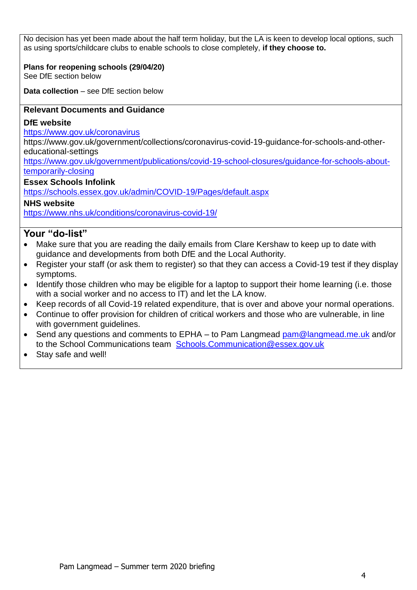No decision has yet been made about the half term holiday, but the LA is keen to develop local options, such as using sports/childcare clubs to enable schools to close completely, **if they choose to.**

#### **Plans for reopening schools (29/04/20)**

See DfE section below

**Data collection** – see DfE section below

#### **Relevant Documents and Guidance**

#### **DfE website**

<https://www.gov.uk/coronavirus>

https://www.gov.uk/government/collections/coronavirus-covid-19-guidance-for-schools-and-othereducational-settings

[https://www.gov.uk/government/publications/covid-19-school-closures/guidance-for-schools-about](https://www.gov.uk/government/publications/covid-19-school-closures/guidance-for-schools-about-temporarily-closing)[temporarily-closing](https://www.gov.uk/government/publications/covid-19-school-closures/guidance-for-schools-about-temporarily-closing)

#### **Essex Schools Infolink**

<https://schools.essex.gov.uk/admin/COVID-19/Pages/default.aspx>

#### **NHS website**

<https://www.nhs.uk/conditions/coronavirus-covid-19/>

- Make sure that you are reading the daily emails from Clare Kershaw to keep up to date with guidance and developments from both DfE and the Local Authority.
- Register your staff (or ask them to register) so that they can access a Covid-19 test if they display symptoms.
- Identify those children who may be eligible for a laptop to support their home learning (i.e. those with a social worker and no access to IT) and let the LA know.
- Keep records of all Covid-19 related expenditure, that is over and above your normal operations.
- Continue to offer provision for children of critical workers and those who are vulnerable, in line with government quidelines.
- Send any questions and comments to EPHA to Pam Langmead [pam@langmead.me.uk](mailto:pam@langmead.me.uk) and/or to the School Communications team [Schools.Communication@essex.gov.uk](mailto:Schools.Communication@essex.gov.uk)
- Stay safe and well!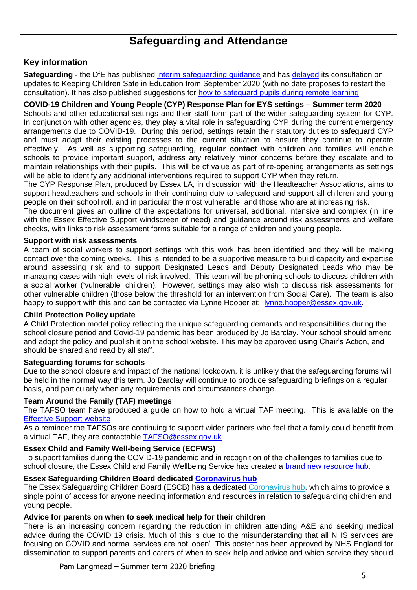# **Safeguarding and Attendance**

## **Key information**

**Safeguarding** - the DfE has published [interim safeguarding guidance](https://schoolleaders.thekeysupport.com/covid-19/safeguard-and-support-pupils/policy-and-procedures/safeguarding-during-coronavirus-summary-dfe-guidance/?marker=content-body) and has [delayed](https://www.gov.uk/government/consultations/keeping-children-safe-in-education-proposed-revisions-2020) its consultation on updates to Keeping Children Safe in Education from September 2020 (with no date proposes to restart the consultation). It has also published suggestions for [how to safeguard pupils during remote learning](https://www.gov.uk/guidance/safeguarding-and-remote-education-during-coronavirus-covid-19)

## **COVID-19 Children and Young People (CYP) Response Plan for EYS settings – Summer term 2020**

Schools and other educational settings and their staff form part of the wider safeguarding system for CYP. In conjunction with other agencies, they play a vital role in safeguarding CYP during the current emergency arrangements due to COVID-19. During this period, settings retain their statutory duties to safeguard CYP and must adapt their existing processes to the current situation to ensure they continue to operate effectively. As well as supporting safeguarding, **regular contact** with children and families will enable schools to provide important support, address any relatively minor concerns before they escalate and to maintain relationships with their pupils. This will be of value as part of re-opening arrangements as settings will be able to identify any additional interventions required to support CYP when they return.

The CYP Response Plan, produced by Essex LA, in discussion with the Headteacher Associations, aims to support headteachers and schools in their continuing duty to safeguard and support all children and young people on their school roll, and in particular the most vulnerable, and those who are at increasing risk.

The document gives an outline of the expectations for universal, additional, intensive and complex (in line with the Essex Effective Support windscreen of need) and guidance around risk assessments and welfare checks, with links to risk assessment forms suitable for a range of children and young people.

#### **Support with risk assessments**

A team of social workers to support settings with this work has been identified and they will be making contact over the coming weeks. This is intended to be a supportive measure to build capacity and expertise around assessing risk and to support Designated Leads and Deputy Designated Leads who may be managing cases with high levels of risk involved. This team will be phoning schools to discuss children with a social worker ('vulnerable' children). However, settings may also wish to discuss risk assessments for other vulnerable children (those below the threshold for an intervention from Social Care). The team is also happy to support with this and can be contacted via Lynne Hooper at: [lynne.hooper@essex.gov.uk.](mailto:lynne.hooper@essex.gov.uk)

#### **Child Protection Policy update**

A Child Protection model policy reflecting the unique safeguarding demands and responsibilities during the school closure period and Covid-19 pandemic has been produced by Jo Barclay. Your school should amend and adopt the policy and publish it on the school website. This may be approved using Chair's Action, and should be shared and read by all staff.

#### **Safeguarding forums for schools**

Due to the school closure and impact of the national lockdown, it is unlikely that the safeguarding forums will be held in the normal way this term. Jo Barclay will continue to produce safeguarding briefings on a regular basis, and particularly when any requirements and circumstances change.

#### **Team Around the Family (TAF) meetings**

The TAFSO team have produced a guide on how to hold a virtual TAF meeting. This is available on the [Effective Support website](https://eur02.safelinks.protection.outlook.com/?url=https%3A%2F%2Fwww.essexeffectivesupport.org.uk%2Fmedia%2F1144%2Fpractitioners-guide-how-do-i-hold-a-taf-virtually-april-2020_-004.docx&data=02%7C01%7C%7Cacb03e845a454bee65a208d7e6b7a92d%7Ca8b4324f155c4215a0f17ed8cc9a992f%7C0%7C0%7C637231548798806285&sdata=HRPwtQx79jXjp22tLOb8WPzfN5z%2Bzb9W%2B6wNpxOSDyI%3D&reserved=0)

As a reminder the TAFSOs are continuing to support wider partners who feel that a family could benefit from a virtual TAF, they are contactable [TAFSO@essex.gov.uk](mailto:TAFSO@essex.gov.uk)

#### **Essex Child and Family Well-being Service (ECFWS)**

To support families during the COVID-19 pandemic and in recognition of the challenges to families due to school closure, the Essex Child and Family Wellbeing Service has created a [brand new resource hub.](https://eur02.safelinks.protection.outlook.com/?url=https%3A%2F%2Fessexfamilywellbeing.co.uk%2Fcovid-19-pandemic-resource-hub%2F&data=02%7C01%7C%7C777468afa8e84c125e8b08d7e04c311e%7Ca8b4324f155c4215a0f17ed8cc9a992f%7C0%7C0%7C637224490161591746&sdata=5Icud84KtSwlwevPkE5kqck6bIeneJK0upyrVlMLvW8%3D&reserved=0)

#### **Essex Safeguarding Children Board dedicated [Coronavirus hub](https://eur02.safelinks.protection.outlook.com/?url=https%3A%2F%2Flnks.gd%2Fl%2FeyJhbGciOiJIUzI1NiJ9.eyJidWxsZXRpbl9saW5rX2lkIjoxMDAsInVyaSI6ImJwMjpjbGljayIsImJ1bGxldGluX2lkIjoiMjAyMDA1MDEuMjA5MDI2MjEiLCJ1cmwiOiJodHRwczovL2V1cjAyLnNhZmVsaW5rcy5wcm90ZWN0aW9uLm91dGxvb2suY29tLz91cmw9aHR0cHMlM0ElMkYlMkZ3d3cuZXNjYi5jby51ayUyRjIyNjUmZGF0YT0wMiU3QzAxJTdDJTdDZTdmMTBmOGI5NTg1NDU0NmNlMTMwOGQ3ZDdjOTRmYjQlN0NhOGI0MzI0ZjE1NWM0MjE1YTBmMTdlZDhjYzlhOTkyZiU3QzAlN0MwJTdDNjM3MjE1MTMxOTMxMjM2OTc3JnNkYXRhPTVNMm1OS0hCT0JURkR6MzhiR1clMkJoc0hPYVEwbTFoZkJ6MTd3SDJPZmhWbyUzRCZyZXNlcnZlZD0wIn0.wblW2e9ESPhCo-CumyANoRgPzzBv5FF6j44NZHBlwyM%2Fbr%2F78103025447-l&data=02%7C01%7C%7Cc73f1ba437cf47286afb08d7eff7acfd%7Ca8b4324f155c4215a0f17ed8cc9a992f%7C0%7C0%7C637241719969187288&sdata=w1azRtnVrlRxnRtc5pwTYNkid1dU2PFLTF1u2nntqQU%3D&reserved=0)**

The Essex Safeguarding Children Board (ESCB) has a dedicated [Coronavirus hub,](https://eur02.safelinks.protection.outlook.com/?url=https%3A%2F%2Flnks.gd%2Fl%2FeyJhbGciOiJIUzI1NiJ9.eyJidWxsZXRpbl9saW5rX2lkIjoxMDAsInVyaSI6ImJwMjpjbGljayIsImJ1bGxldGluX2lkIjoiMjAyMDA1MDEuMjA5MDI2MjEiLCJ1cmwiOiJodHRwczovL2V1cjAyLnNhZmVsaW5rcy5wcm90ZWN0aW9uLm91dGxvb2suY29tLz91cmw9aHR0cHMlM0ElMkYlMkZ3d3cuZXNjYi5jby51ayUyRjIyNjUmZGF0YT0wMiU3QzAxJTdDJTdDZTdmMTBmOGI5NTg1NDU0NmNlMTMwOGQ3ZDdjOTRmYjQlN0NhOGI0MzI0ZjE1NWM0MjE1YTBmMTdlZDhjYzlhOTkyZiU3QzAlN0MwJTdDNjM3MjE1MTMxOTMxMjM2OTc3JnNkYXRhPTVNMm1OS0hCT0JURkR6MzhiR1clMkJoc0hPYVEwbTFoZkJ6MTd3SDJPZmhWbyUzRCZyZXNlcnZlZD0wIn0.wblW2e9ESPhCo-CumyANoRgPzzBv5FF6j44NZHBlwyM%2Fbr%2F78103025447-l&data=02%7C01%7C%7Cc73f1ba437cf47286afb08d7eff7acfd%7Ca8b4324f155c4215a0f17ed8cc9a992f%7C0%7C0%7C637241719969197279&sdata=iqaDOpDFxrDUvXhbBB5L76832%2Brdxknc43rKQUVz49g%3D&reserved=0) which aims to provide a single point of access for anyone needing information and resources in relation to safeguarding children and young people.

#### **Advice for parents on when to seek medical help for their children**

There is an increasing concern regarding the reduction in children attending A&E and seeking medical advice during the COVID 19 crisis. Much of this is due to the misunderstanding that all NHS services are focusing on COVID and normal services are not 'open'. This poster has been approved by NHS England for dissemination to support parents and carers of when to seek help and advice and which service they should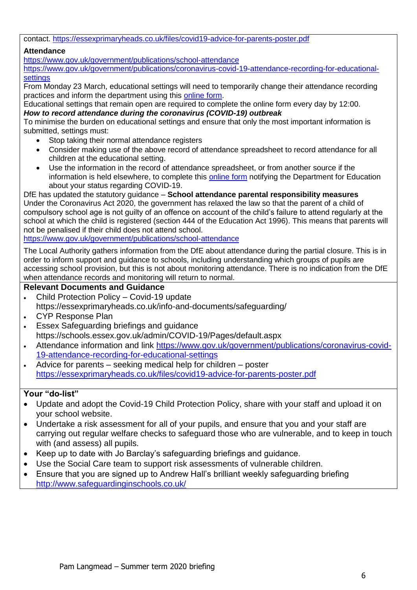contact.<https://essexprimaryheads.co.uk/files/covid19-advice-for-parents-poster.pdf>

#### **Attendance**

<https://www.gov.uk/government/publications/school-attendance>

[https://www.gov.uk/government/publications/coronavirus-covid-19-attendance-recording-for-educational](https://www.gov.uk/government/publications/coronavirus-covid-19-attendance-recording-for-educational-settings)**[settings](https://www.gov.uk/government/publications/coronavirus-covid-19-attendance-recording-for-educational-settings)** 

From Monday 23 March, educational settings will need to temporarily change their attendance recording practices and inform the department using this [online form.](http://www.education.gov.uk/educational-setting-status)

Educational settings that remain open are required to complete the online form every day by 12:00. *How to record attendance during the coronavirus (COVID-19) outbreak*

To minimise the burden on educational settings and ensure that only the most important information is submitted, settings must:

- Stop taking their normal attendance registers
- Consider making use of the above record of attendance spreadsheet to record attendance for all children at the educational setting.
- Use the information in the record of attendance spreadsheet, or from another source if the information is held elsewhere, to complete this [online form](http://www.education.gov.uk/educational-setting-status) notifying the Department for Education about your status regarding COVID-19.

DfE has updated the statutory guidance – **School attendance parental responsibility measures** Under the Coronavirus Act 2020, the government has relaxed the law so that the parent of a child of compulsory school age is not guilty of an offence on account of the child's failure to attend regularly at the school at which the child is registered (section 444 of the Education Act 1996). This means that parents will not be penalised if their child does not attend school.

<https://www.gov.uk/government/publications/school-attendance>

The Local Authority gathers information from the DfE about attendance during the partial closure. This is in order to inform support and guidance to schools, including understanding which groups of pupils are accessing school provision, but this is not about monitoring attendance. There is no indication from the DfE when attendance records and monitoring will return to normal.

## **Relevant Documents and Guidance**

- Child Protection Policy Covid-19 update https://essexprimaryheads.co.uk/info-and-documents/safeguarding/
- CYP Response Plan
- Essex Safeguarding briefings and guidance https://schools.essex.gov.uk/admin/COVID-19/Pages/default.aspx
- Attendance information and link [https://www.gov.uk/government/publications/coronavirus-covid-](https://www.gov.uk/government/publications/coronavirus-covid-19-attendance-recording-for-educational-settings)[19-attendance-recording-for-educational-settings](https://www.gov.uk/government/publications/coronavirus-covid-19-attendance-recording-for-educational-settings)
- Advice for parents seeking medical help for children poster <https://essexprimaryheads.co.uk/files/covid19-advice-for-parents-poster.pdf>

- Update and adopt the Covid-19 Child Protection Policy, share with your staff and upload it on your school website.
- Undertake a risk assessment for all of your pupils, and ensure that you and your staff are carrying out regular welfare checks to safeguard those who are vulnerable, and to keep in touch with (and assess) all pupils.
- Keep up to date with Jo Barclay's safeguarding briefings and guidance.
- Use the Social Care team to support risk assessments of vulnerable children.
- Ensure that you are signed up to Andrew Hall's brilliant weekly safeguarding briefing <http://www.safeguardinginschools.co.uk/>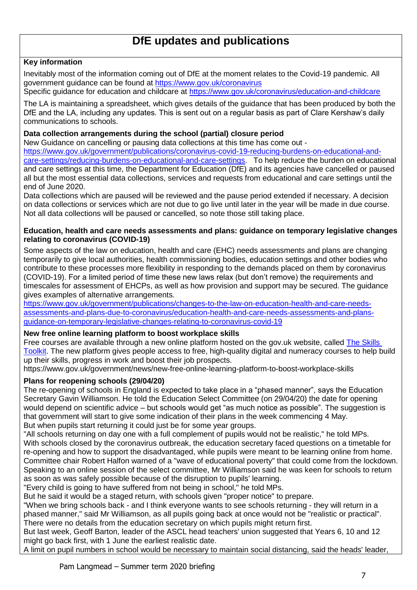# **DfE updates and publications**

#### **Key information**

Inevitably most of the information coming out of DfE at the moment relates to the Covid-19 pandemic. All government guidance can be found at<https://www.gov.uk/coronavirus>

Specific guidance for education and childcare at<https://www.gov.uk/coronavirus/education-and-childcare>

The LA is maintaining a spreadsheet, which gives details of the guidance that has been produced by both the DfE and the LA, including any updates. This is sent out on a regular basis as part of Clare Kershaw's daily communications to schools.

#### **Data collection arrangements during the school (partial) closure period**

New Guidance on cancelling or pausing data collections at this time has come out -

[https://www.gov.uk/government/publications/coronavirus-covid-19-reducing-burdens-on-educational-and](https://eur02.safelinks.protection.outlook.com/?url=https%3A%2F%2Fwww.gov.uk%2Fgovernment%2Fpublications%2Fcoronavirus-covid-19-reducing-burdens-on-educational-and-care-settings%2Freducing-burdens-on-educational-and-care-settings&data=02%7C01%7C%7C2aa75d403a474df450d608d7e5c24cdf%7Ca8b4324f155c4215a0f17ed8cc9a992f%7C0%7C0%7C637230496633230373&sdata=r7btkzQNcS4IASFiyykl5Zd0JkWYqICmadaRowQeM8I%3D&reserved=0)[care-settings/reducing-burdens-on-educational-and-care-settings.](https://eur02.safelinks.protection.outlook.com/?url=https%3A%2F%2Fwww.gov.uk%2Fgovernment%2Fpublications%2Fcoronavirus-covid-19-reducing-burdens-on-educational-and-care-settings%2Freducing-burdens-on-educational-and-care-settings&data=02%7C01%7C%7C2aa75d403a474df450d608d7e5c24cdf%7Ca8b4324f155c4215a0f17ed8cc9a992f%7C0%7C0%7C637230496633230373&sdata=r7btkzQNcS4IASFiyykl5Zd0JkWYqICmadaRowQeM8I%3D&reserved=0) To help reduce the burden on educational and care settings at this time, the Department for Education (DfE) and its agencies have cancelled or paused all but the most essential data collections, services and requests from educational and care settings until the end of June 2020.

Data collections which are paused will be reviewed and the pause period extended if necessary. A decision on data collections or services which are not due to go live until later in the year will be made in due course. Not all data collections will be paused or cancelled, so note those still taking place.

#### **Education, health and care needs assessments and plans: guidance on temporary legislative changes relating to coronavirus (COVID-19)**

Some aspects of the law on education, health and care (EHC) needs assessments and plans are changing temporarily to give local authorities, health commissioning bodies, education settings and other bodies who contribute to these processes more flexibility in responding to the demands placed on them by coronavirus (COVID-19). For a limited period of time these new laws relax (but don't remove) the requirements and timescales for assessment of EHCPs, as well as how provision and support may be secured. The guidance gives examples of alternative arrangements.

[https://www.gov.uk/government/publications/changes-to-the-law-on-education-health-and-care-needs](https://www.gov.uk/government/publications/changes-to-the-law-on-education-health-and-care-needs-assessments-and-plans-due-to-coronavirus/education-health-and-care-needs-assessments-and-plans-guidance-on-temporary-legislative-changes-relating-to-coronavirus-covid-19)[assessments-and-plans-due-to-coronavirus/education-health-and-care-needs-assessments-and-plans](https://www.gov.uk/government/publications/changes-to-the-law-on-education-health-and-care-needs-assessments-and-plans-due-to-coronavirus/education-health-and-care-needs-assessments-and-plans-guidance-on-temporary-legislative-changes-relating-to-coronavirus-covid-19)[guidance-on-temporary-legislative-changes-relating-to-coronavirus-covid-19](https://www.gov.uk/government/publications/changes-to-the-law-on-education-health-and-care-needs-assessments-and-plans-due-to-coronavirus/education-health-and-care-needs-assessments-and-plans-guidance-on-temporary-legislative-changes-relating-to-coronavirus-covid-19)

#### **New free online learning platform to boost workplace skills**

Free courses are available through a new online platform hosted on the gov.uk website, called [The Skills](https://theskillstoolkit.campaign.gov.uk/)  [Toolkit.](https://theskillstoolkit.campaign.gov.uk/) The new platform gives people access to free, high-quality digital and numeracy courses to help build up their skills, progress in work and boost their job prospects.

https://www.gov.uk/government/news/new-free-online-learning-platform-to-boost-workplace-skills

#### **Plans for reopening schools (29/04/20)**

The re-opening of schools in England is expected to take place in a "phased manner", says the Education Secretary Gavin Williamson. He told the Education Select Committee (on 29/04/20) the date for opening would depend on scientific advice – but schools would get "as much notice as possible". The suggestion is that government will start to give some indication of their plans in the week commencing 4 May. But when pupils start returning it could just be for some year groups.

"All schools returning on day one with a full complement of pupils would not be realistic," he told MPs. With schools closed by the coronavirus outbreak, the education secretary faced questions on a timetable for re-opening and how to support the disadvantaged, while pupils were meant to be learning online from home. Committee chair Robert Halfon warned of a "wave of educational poverty" that could come from the lockdown. Speaking to an online session of the select committee, Mr Williamson said he was keen for schools to return as soon as was safely possible because of the disruption to pupils' learning.

"Every child is going to have suffered from not being in school," he told MPs.

But he said it would be a staged return, with schools given "proper notice" to prepare.

"When we bring schools back - and I think everyone wants to see schools returning - they will return in a phased manner," said Mr Williamson, as all pupils going back at once would not be "realistic or practical". There were no details from the education secretary on which pupils might return first.

But last week, Geoff Barton, leader of the ASCL head teachers' union suggested that Years 6, 10 and 12 might go back first, with 1 June the earliest realistic date.

A limit on pupil numbers in school would be necessary to maintain social distancing, said the heads' leader,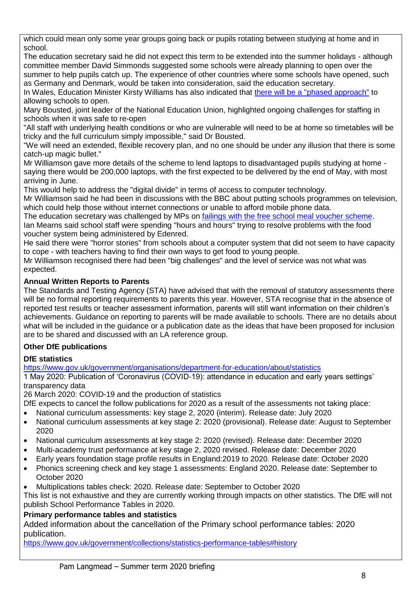which could mean only some year groups going back or pupils rotating between studying at home and in school.

The education secretary said he did not expect this term to be extended into the summer holidays - although committee member David Simmonds suggested some schools were already planning to open over the summer to help pupils catch up. The experience of other countries where some schools have opened, such as Germany and Denmark, would be taken into consideration, said the education secretary.

In Wales, Education Minister Kirsty Williams has also indicated that [there will be a "phased approach"](https://www.bbc.co.uk/news/uk-wales-52448489) to allowing schools to open.

Mary Bousted, joint leader of the National Education Union, highlighted ongoing challenges for staffing in schools when it was safe to re-open

"All staff with underlying health conditions or who are vulnerable will need to be at home so timetables will be tricky and the full curriculum simply impossible," said Dr Bousted.

"We will need an extended, flexible recovery plan, and no one should be under any illusion that there is some catch-up magic bullet."

Mr Williamson gave more details of the scheme to lend laptops to disadvantaged pupils studying at home saying there would be 200,000 laptops, with the first expected to be delivered by the end of May, with most arriving in June.

This would help to address the "digital divide" in terms of access to computer technology.

Mr Williamson said he had been in discussions with the BBC about putting schools programmes on television, which could help those without internet connections or unable to afford mobile phone data.

The education secretary was challenged by MPs on failings [with the free school meal voucher scheme.](https://www.bbc.co.uk/news/education-52325332)

Ian Mearns said school staff were spending "hours and hours" trying to resolve problems with the food voucher system being administered by Edenred.

He said there were "horror stories" from schools about a computer system that did not seem to have capacity to cope - with teachers having to find their own ways to get food to young people.

Mr Williamson recognised there had been "big challenges" and the level of service was not what was expected.

## **Annual Written Reports to Parents**

The Standards and Testing Agency (STA) have advised that with the removal of statutory assessments there will be no formal reporting requirements to parents this year. However, STA recognise that in the absence of reported test results or teacher assessment information, parents will still want information on their children's achievements. Guidance on reporting to parents will be made available to schools. There are no details about what will be included in the guidance or a publication date as the ideas that have been proposed for inclusion are to be shared and discussed with an LA reference group.

## **Other DfE publications**

## **DfE statistics**

<https://www.gov.uk/government/organisations/department-for-education/about/statistics>

1 May 2020: Publication of 'Coronavirus (COVID-19): attendance in education and early years settings' transparency data

26 March 2020: COVID-19 and the production of statistics

- DfE expects to cancel the follow publications for 2020 as a result of the assessments not taking place:
- National curriculum assessments: key stage 2, 2020 (interim). Release date: July 2020
- National curriculum assessments at key stage 2: 2020 (provisional). Release date: August to September 2020
- National curriculum assessments at key stage 2: 2020 (revised). Release date: December 2020
- Multi-academy trust performance at key stage 2, 2020 revised. Release date: December 2020
- Early years foundation stage profile results in England:2019 to 2020. Release date: October 2020
- Phonics screening check and key stage 1 assessments: England 2020. Release date: September to October 2020
- Multiplications tables check: 2020. Release date: September to October 2020

This list is not exhaustive and they are currently working through impacts on other statistics. The DfE will not publish School Performance Tables in 2020.

## **Primary performance tables and statistics**

Added information about the cancellation of the Primary school performance tables: 2020 publication.

<https://www.gov.uk/government/collections/statistics-performance-tables#history>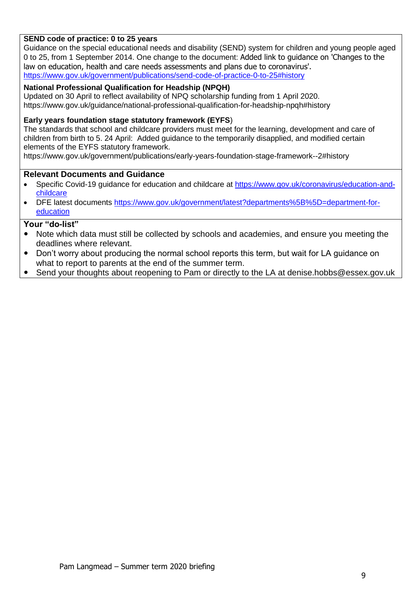#### **SEND code of practice: 0 to 25 years**

Guidance on the special educational needs and disability (SEND) system for children and young people aged 0 to 25, from 1 September 2014. One change to the document: Added link to guidance on 'Changes to the law on education, health and care needs assessments and plans due to coronavirus'. <https://www.gov.uk/government/publications/send-code-of-practice-0-to-25#history>

#### **National Professional Qualification for Headship (NPQH)**

Updated on 30 April to reflect availability of NPQ scholarship funding from 1 April 2020. https://www.gov.uk/guidance/national-professional-qualification-for-headship-npqh#history

#### **Early years foundation stage statutory framework (EYFS**)

The standards that school and childcare providers must meet for the learning, development and care of children from birth to 5. 24 April: Added guidance to the temporarily disapplied, and modified certain elements of the EYFS statutory framework.

https://www.gov.uk/government/publications/early-years-foundation-stage-framework--2#history

#### **Relevant Documents and Guidance**

- Specific Covid-19 guidance for education and childcare at [https://www.gov.uk/coronavirus/education-and](https://www.gov.uk/coronavirus/education-and-childcare)[childcare](https://www.gov.uk/coronavirus/education-and-childcare)
- DFE latest documents [https://www.gov.uk/government/latest?departments%5B%5D=department-for](https://www.gov.uk/government/latest?departments%5B%5D=department-for-education)[education](https://www.gov.uk/government/latest?departments%5B%5D=department-for-education)

- Note which data must still be collected by schools and academies, and ensure you meeting the deadlines where relevant.
- Don't worry about producing the normal school reports this term, but wait for LA guidance on what to report to parents at the end of the summer term.
- Send your thoughts about reopening to Pam or directly to the LA at denise.hobbs@essex.gov.uk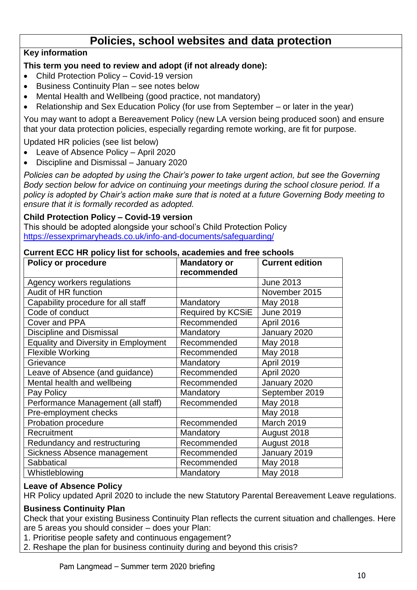# **Policies, school websites and data protection**

## **Key information**

## **This term you need to review and adopt (if not already done):**

- Child Protection Policy Covid-19 version
- Business Continuity Plan see notes below
- Mental Health and Wellbeing (good practice, not mandatory)
- Relationship and Sex Education Policy (for use from September or later in the year)

You may want to adopt a Bereavement Policy (new LA version being produced soon) and ensure that your data protection policies, especially regarding remote working, are fit for purpose.

Updated HR policies (see list below)

- Leave of Absence Policy April 2020
- Discipline and Dismissal January 2020

*Policies can be adopted by using the Chair's power to take urgent action, but see the Governing Body section below for advice on continuing your meetings during the school closure period. If a policy is adopted by Chair's action make sure that is noted at a future Governing Body meeting to ensure that it is formally recorded as adopted.*

#### **Child Protection Policy – Covid-19 version**

This should be adopted alongside your school's Child Protection Policy <https://essexprimaryheads.co.uk/info-and-documents/safeguarding/>

## **Current ECC HR policy list for schools, academies and free schools**

| <b>Policy or procedure</b>                  | <b>Mandatory or</b><br>recommended | <b>Current edition</b> |
|---------------------------------------------|------------------------------------|------------------------|
| Agency workers regulations                  |                                    | <b>June 2013</b>       |
| Audit of HR function                        |                                    | November 2015          |
| Capability procedure for all staff          | Mandatory                          | May 2018               |
| Code of conduct                             | <b>Required by KCSiE</b>           | <b>June 2019</b>       |
| Cover and PPA                               | Recommended                        | April 2016             |
| <b>Discipline and Dismissal</b>             | Mandatory                          | January 2020           |
| <b>Equality and Diversity in Employment</b> | Recommended                        | May 2018               |
| <b>Flexible Working</b>                     | Recommended                        | May 2018               |
| Grievance                                   | Mandatory                          | April 2019             |
| Leave of Absence (and guidance)             | Recommended                        | April 2020             |
| Mental health and wellbeing                 | Recommended                        | January 2020           |
| Pay Policy                                  | Mandatory                          | September 2019         |
| Performance Management (all staff)          | Recommended                        | May 2018               |
| Pre-employment checks                       |                                    | May 2018               |
| Probation procedure                         | Recommended                        | March 2019             |
| Recruitment                                 | Mandatory                          | August 2018            |
| Redundancy and restructuring                | Recommended                        | August 2018            |
| Sickness Absence management                 | Recommended                        | January 2019           |
| Sabbatical                                  | Recommended                        | May 2018               |
| Whistleblowing                              | Mandatory                          | May 2018               |

## **Leave of Absence Policy**

HR Policy updated April 2020 to include the new Statutory Parental Bereavement Leave regulations.

#### **Business Continuity Plan**

Check that your existing Business Continuity Plan reflects the current situation and challenges. Here are 5 areas you should consider – does your Plan:

1. Prioritise people safety and continuous engagement?

2. Reshape the plan for business continuity during and beyond this crisis?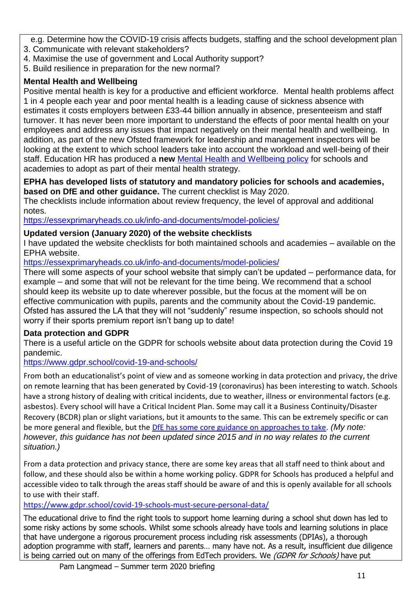- e.g. Determine how the COVID-19 crisis affects budgets, staffing and the school development plan
- 3. Communicate with relevant stakeholders?
- 4. Maximise the use of government and Local Authority support?
- 5. Build resilience in preparation for the new normal?

## **Mental Health and Wellbeing**

Positive mental health is key for a productive and efficient workforce. Mental health problems affect 1 in 4 people each year and poor mental health is a leading cause of sickness absence with estimates it costs employers between £33-44 billion annually in absence, presenteeism and staff turnover. It has never been more important to understand the effects of poor mental health on your employees and address any issues that impact negatively on their mental health and wellbeing. In addition, as part of the new Ofsted framework for leadership and management inspectors will be looking at the extent to which school leaders take into account the workload and well-being of their staff. Education HR has produced a **new** [Mental Health and Wellbeing policy](https://junipereducation.org/wp-content/uploads/juniper_folder/Mental%20Health%20and%20Welbeing%20Policy%20(Jan%202020).docx) for schools and academies to adopt as part of their mental health strategy.

#### **EPHA has developed lists of statutory and mandatory policies for schools and academies, based on DfE and other guidance.** The current checklist is May 2020.

The checklists include information about review frequency, the level of approval and additional notes.

<https://essexprimaryheads.co.uk/info-and-documents/model-policies/>

## **Updated version (January 2020) of the website checklists**

I have updated the website checklists for both maintained schools and academies – available on the EPHA website.

<https://essexprimaryheads.co.uk/info-and-documents/model-policies/>

There will some aspects of your school website that simply can't be updated – performance data, for example – and some that will not be relevant for the time being. We recommend that a school should keep its website up to date wherever possible, but the focus at the moment will be on effective communication with pupils, parents and the community about the Covid-19 pandemic. Ofsted has assured the LA that they will not "suddenly" resume inspection, so schools should not worry if their sports premium report isn't bang up to date!

# **Data protection and GDPR**

There is a useful article on the GDPR for schools website about data protection during the Covid 19 pandemic.

<https://www.gdpr.school/covid-19-and-schools/>

From both an educationalist's point of view and as someone working in data protection and privacy, the drive on remote learning that has been generated by Covid-19 (coronavirus) has been interesting to watch. Schools have a strong history of dealing with critical incidents, due to weather, illness or environmental factors (e.g. asbestos). Every school will have a Critical Incident Plan. Some may call it a Business Continuity/Disaster Recovery (BCDR) plan or slight variations, but it amounts to the same. This can be extremely specific or can be more general and flexible, but the [DfE has some core guidance on approaches to take.](https://www.gov.uk/guidance/emergencies-and-severe-weather-schools-and-early-years-settings) *(My note: however, this guidance has not been updated since 2015 and in no way relates to the current situation.)*

From a data protection and privacy stance, there are some key areas that all staff need to think about and follow, and these should also be within a home working policy. GDPR for Schools has produced a helpful and accessible video to talk through the areas staff should be aware of and this is openly available for all schools to use with their staff.

<https://www.gdpr.school/covid-19-schools-must-secure-personal-data/>

The educational drive to find the right tools to support home learning during a school shut down has led to some risky actions by some schools. Whilst some schools already have tools and learning solutions in place that have undergone a rigorous procurement process including risk assessments (DPIAs), a thorough adoption programme with staff, learners and parents… many have not. As a result, insufficient due diligence is being carried out on many of the offerings from EdTech providers. We (GDPR for Schools) have put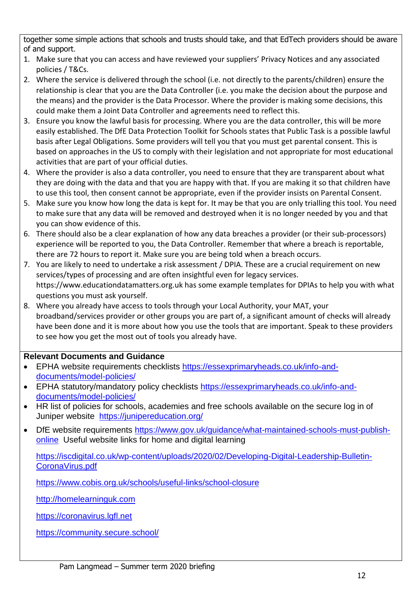together some simple actions that schools and trusts should take, and that EdTech providers should be aware of and support.

- 1. Make sure that you can access and have reviewed your suppliers' Privacy Notices and any associated policies / T&Cs.
- 2. Where the service is delivered through the school (i.e. not directly to the parents/children) ensure the relationship is clear that you are the Data Controller (i.e. you make the decision about the purpose and the means) and the provider is the Data Processor. Where the provider is making some decisions, this could make them a Joint Data Controller and agreements need to reflect this.
- 3. Ensure you know the lawful basis for processing. Where you are the data controller, this will be more easily established. The DfE Data Protection Toolkit for Schools states that Public Task is a possible lawful basis after Legal Obligations. Some providers will tell you that you must get parental consent. This is based on approaches in the US to comply with their legislation and not appropriate for most educational activities that are part of your official duties.
- 4. Where the provider is also a data controller, you need to ensure that they are transparent about what they are doing with the data and that you are happy with that. If you are making it so that children have to use this tool, then consent cannot be appropriate, even if the provider insists on Parental Consent.
- 5. Make sure you know how long the data is kept for. It may be that you are only trialling this tool. You need to make sure that any data will be removed and destroyed when it is no longer needed by you and that you can show evidence of this.
- 6. There should also be a clear explanation of how any data breaches a provider (or their sub-processors) experience will be reported to you, the Data Controller. Remember that where a breach is reportable, there are 72 hours to report it. Make sure you are being told when a breach occurs.
- 7. You are likely to need to undertake a risk assessment / DPIA. These are a crucial requirement on new services/types of processing and are often insightful even for legacy services. https://www.educationdatamatters.org.uk has some example templates for DPIAs to help you with what questions you must ask yourself.
- 8. Where you already have access to tools through your Local Authority, your MAT, your broadband/services provider or other groups you are part of, a significant amount of checks will already have been done and it is more about how you use the tools that are important. Speak to these providers to see how you get the most out of tools you already have.

# **Relevant Documents and Guidance**

- EPHA website requirements checklists [https://essexprimaryheads.co.uk/info-and](https://essexprimaryheads.co.uk/info-and-documents/model-policies/)[documents/model-policies/](https://essexprimaryheads.co.uk/info-and-documents/model-policies/)
- EPHA statutory/mandatory policy checklists [https://essexprimaryheads.co.uk/info-and](https://essexprimaryheads.co.uk/info-and-documents/model-policies/)[documents/model-policies/](https://essexprimaryheads.co.uk/info-and-documents/model-policies/)
- HR list of policies for schools, academies and free schools available on the secure log in of Juniper website <https://junipereducation.org/>
- DfE website requirements [https://www.gov.uk/guidance/what-maintained-schools-must-publish](https://www.gov.uk/guidance/what-maintained-schools-must-publish-online)[online](https://www.gov.uk/guidance/what-maintained-schools-must-publish-online) Useful website links for home and digital learning

[https://iscdigital.co.uk/wp-content/uploads/2020/02/Developing-Digital-Leadership-Bulletin-](https://iscdigital.co.uk/wp-content/uploads/2020/02/Developing-Digital-Leadership-Bulletin-CoronaVirus.pdf)[CoronaVirus.pdf](https://iscdigital.co.uk/wp-content/uploads/2020/02/Developing-Digital-Leadership-Bulletin-CoronaVirus.pdf)

<https://www.cobis.org.uk/schools/useful-links/school-closure>

[http://homelearninguk.com](http://homelearninguk.com/)

[https://coronavirus.lgfl.net](https://coronavirus.lgfl.net/)

<https://community.secure.school/>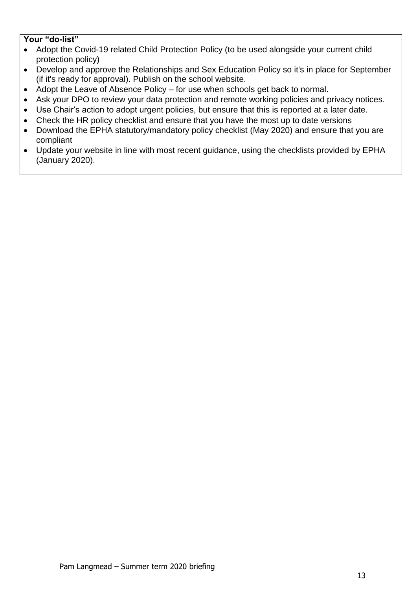- Adopt the Covid-19 related Child Protection Policy (to be used alongside your current child protection policy)
- Develop and approve the Relationships and Sex Education Policy so it's in place for September (if it's ready for approval). Publish on the school website.
- Adopt the Leave of Absence Policy for use when schools get back to normal.
- Ask your DPO to review your data protection and remote working policies and privacy notices.
- Use Chair's action to adopt urgent policies, but ensure that this is reported at a later date.
- Check the HR policy checklist and ensure that you have the most up to date versions
- Download the EPHA statutory/mandatory policy checklist (May 2020) and ensure that you are compliant
- Update your website in line with most recent guidance, using the checklists provided by EPHA (January 2020).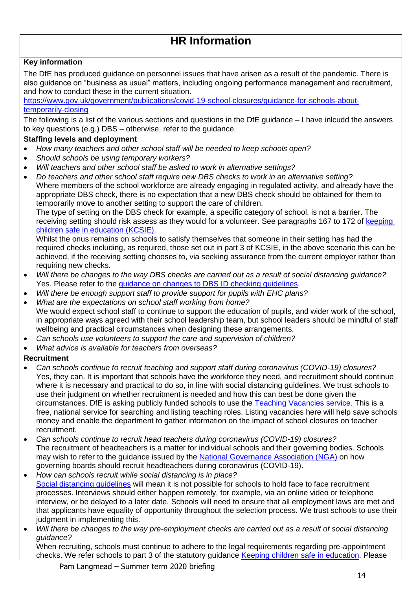# **HR Information**

#### **Key information**

The DfE has produced guidance on personnel issues that have arisen as a result of the pandemic. There is also guidance on "business as usual" matters, including ongoing performance management and recruitment, and how to conduct these in the current situation.

[https://www.gov.uk/government/publications/covid-19-school-closures/guidance-for-schools-about](https://www.gov.uk/government/publications/covid-19-school-closures/guidance-for-schools-about-temporarily-closing)[temporarily-closing](https://www.gov.uk/government/publications/covid-19-school-closures/guidance-for-schools-about-temporarily-closing)

The following is a list of the various sections and questions in the DfE guidance – I have inlcudd the answers to key questions (e.g.) DBS – otherwise, refer to the guidance.

#### **Staffing levels and deployment**

- *How many teachers and other school staff will be needed to keep schools open?*
- *Should schools be using temporary workers?*
- *Will teachers and other school staff be asked to work in alternative settings?*
- *Do teachers and other school staff require new DBS checks to work in an alternative setting?* Where members of the school workforce are already engaging in regulated activity, and already have the appropriate DBS check, there is no expectation that a new DBS check should be obtained for them to temporarily move to another setting to support the care of children.

The type of setting on the DBS check for example, a specific category of school, is not a barrier. The receiving setting should risk assess as they would for a volunteer. See paragraphs 167 to 172 of keeping [children safe in education \(KCSIE\).](https://www.gov.uk/government/publications/keeping-children-safe-in-education--2)

Whilst the onus remains on schools to satisfy themselves that someone in their setting has had the required checks including, as required, those set out in part 3 of KCSIE, in the above scenario this can be achieved, if the receiving setting chooses to, via seeking assurance from the current employer rather than requiring new checks.

- *Will there be changes to the way DBS checks are carried out as a result of social distancing guidance?* Yes. Please refer to the [guidance on changes to](https://www.gov.uk/government/news/covid-19-changes-to-dbs-id-checking-guidelines) DBS ID checking guidelines.
- *Will there be enough support staff to provide support for pupils with EHC plans?*
- *What are the expectations on school staff working from home?* We would expect school staff to continue to support the education of pupils, and wider work of the school, in appropriate ways agreed with their school leadership team, but school leaders should be mindful of staff wellbeing and practical circumstances when designing these arrangements.
- *Can schools use volunteers to support the care and supervision of children?*
- *What advice is available for teachers from overseas?*

#### **Recruitment**

- *Can schools continue to recruit teaching and support staff during coronavirus (COVID-19) closures?* Yes, they can. It is important that schools have the workforce they need, and recruitment should continue where it is necessary and practical to do so, in line with social distancing guidelines. We trust schools to use their judgment on whether recruitment is needed and how this can best be done given the circumstances. DfE is asking publicly funded schools to use the [Teaching Vacancies service.](https://teaching-vacancies.service.gov.uk/?utm_source=guidance&utm_medium=referral&utm_campaign=name_of_specific_document) This is a free, national service for searching and listing teaching roles. Listing vacancies here will help save schools money and enable the department to gather information on the impact of school closures on teacher recruitment.
- *Can schools continue to recruit head teachers during coronavirus (COVID-19) closures?* The recruitment of headteachers is a matter for individual schools and their governing bodies. Schools may wish to refer to the guidance issued by the [National Governance Association \(NGA\)](https://www.nga.org.uk/News/NGA-News/March-2020/Business-continuity-guidance-to-support-boards-thr.aspx) on how governing boards should recruit headteachers during coronavirus (COVID-19).
- *How can schools recruit while social distancing is in place?* [Social distancing guidelines](https://www.gov.uk/government/publications/covid-19-guidance-on-social-distancing-and-for-vulnerable-people/guidance-on-social-distancing-for-everyone-in-the-uk-and-protecting-older-people-and-vulnerable-adults) will mean it is not possible for schools to hold face to face recruitment processes. Interviews should either happen remotely, for example, via an online video or telephone interview, or be delayed to a later date. Schools will need to ensure that all employment laws are met and that applicants have equality of opportunity throughout the selection process. We trust schools to use their judgment in implementing this.
- *Will there be changes to the way pre-employment checks are carried out as a result of social distancing guidance?*

When recruiting, schools must continue to adhere to the legal requirements regarding pre-appointment checks. We refer schools to part 3 of the statutory guidance [Keeping children safe in education.](https://www.gov.uk/government/publications/keeping-children-safe-in-education--2) Please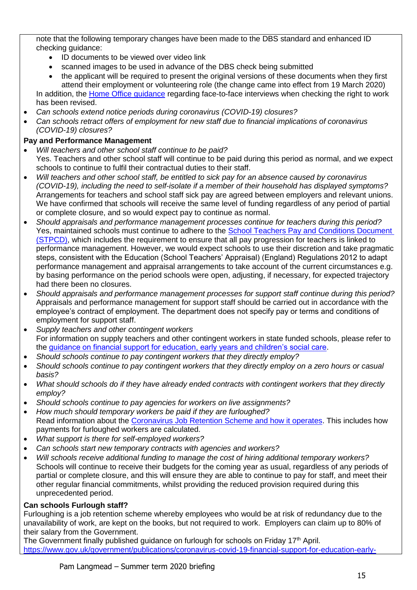note that the following temporary changes have been made to the DBS standard and enhanced ID checking guidance:

- ID documents to be viewed over video link
- scanned images to be used in advance of the DBS check being submitted
- the applicant will be required to present the original versions of these documents when they first attend their employment or volunteering role (the change came into effect from 19 March 2020) In addition, the [Home Office guidance](https://www.gov.uk/guidance/coronavirus-covid-19-right-to-work-checks) regarding face-to-face interviews when checking the right to work has been revised.
- *Can schools extend notice periods during coronavirus (COVID-19) closures?*
- *Can schools retract offers of employment for new staff due to financial implications of coronavirus (COVID-19) closures?*

## **Pay and Performance Management**

- *Will teachers and other school staff continue to be paid?* Yes. Teachers and other school staff will continue to be paid during this period as normal, and we expect schools to continue to fulfil their contractual duties to their staff.
- *Will teachers and other school staff, be entitled to sick pay for an absence caused by coronavirus (COVID-19), including the need to self-isolate if a member of their household has displayed symptoms?* Arrangements for teachers and school staff sick pay are agreed between employers and relevant unions. We have confirmed that schools will receive the same level of funding regardless of any period of partial or complete closure, and so would expect pay to continue as normal.
- *Should appraisals and performance management processes continue for teachers during this period?* Yes, maintained schools must continue to adhere to the School Teachers Pay and Conditions Document [\(STPCD\),](https://www.gov.uk/government/publications/school-teachers-pay-and-conditions) which includes the requirement to ensure that all pay progression for teachers is linked to performance management. However, we would expect schools to use their discretion and take pragmatic steps, consistent with the Education (School Teachers' Appraisal) (England) Regulations 2012 to adapt performance management and appraisal arrangements to take account of the current circumstances e.g. by basing performance on the period schools were open, adjusting, if necessary, for expected trajectory had there been no closures.
- *Should appraisals and performance management processes for support staff continue during this period?* Appraisals and performance management for support staff should be carried out in accordance with the employee's contract of employment. The department does not specify pay or terms and conditions of employment for support staff.
- *Supply teachers and other contingent workers* For information on supply teachers and other contingent workers in state funded schools, please refer to the [guidance on financial support for education, early years and children's social care.](https://www.gov.uk/government/publications/coronavirus-covid-19-financial-support-for-education-early-years-and-childrens-social-care)
- *Should schools continue to pay contingent workers that they directly employ?*
- *Should schools continue to pay contingent workers that they directly employ on a zero hours or casual basis?*
- *What should schools do if they have already ended contracts with contingent workers that they directly employ?*
- *Should schools continue to pay agencies for workers on live assignments?*
- *How much should temporary workers be paid if they are furloughed?* Read information about the [Coronavirus Job Retention Scheme and how it operates.](https://www.gov.uk/guidance/claim-for-wage-costs-through-the-coronavirus-job-retention-scheme) This includes how payments for furloughed workers are calculated.
- *What support is there for self-employed workers?*
- *Can schools start new temporary contracts with agencies and workers?*
- *Will schools receive additional funding to manage the cost of hiring additional temporary workers?* Schools will continue to receive their budgets for the coming year as usual, regardless of any periods of partial or complete closure, and this will ensure they are able to continue to pay for staff, and meet their other regular financial commitments, whilst providing the reduced provision required during this unprecedented period.

#### **Can schools Furlough staff?**

Furloughing is a job retention scheme whereby employees who would be at risk of redundancy due to the unavailability of work, are kept on the books, but not required to work. Employers can claim up to 80% of their salary from the Government.

The Government finally published guidance on furlough for schools on Friday 17<sup>th</sup> April. [https://www.gov.uk/government/publications/coronavirus-covid-19-financial-support-for-education-early-](https://www.gov.uk/government/publications/coronavirus-covid-19-financial-support-for-education-early-years-and-childrens-social-care/coronavirus-covid-19-financial-support-for-education-early-years-and-childrens-social-care)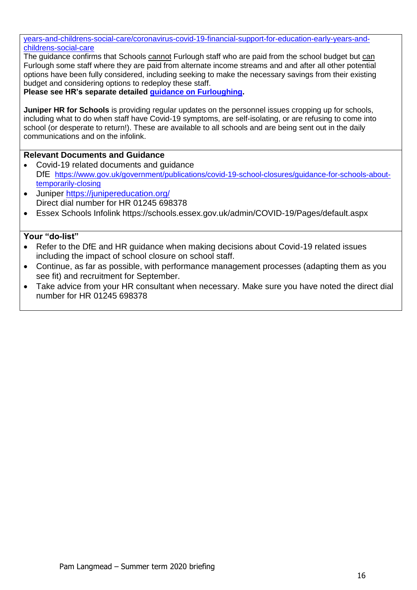[years-and-childrens-social-care/coronavirus-covid-19-financial-support-for-education-early-years-and](https://www.gov.uk/government/publications/coronavirus-covid-19-financial-support-for-education-early-years-and-childrens-social-care/coronavirus-covid-19-financial-support-for-education-early-years-and-childrens-social-care)[childrens-social-care](https://www.gov.uk/government/publications/coronavirus-covid-19-financial-support-for-education-early-years-and-childrens-social-care/coronavirus-covid-19-financial-support-for-education-early-years-and-childrens-social-care)

The guidance confirms that Schools cannot Furlough staff who are paid from the school budget but can Furlough some staff where they are paid from alternate income streams and and after all other potential options have been fully considered, including seeking to make the necessary savings from their existing budget and considering options to redeploy these staff.

**Please see HR's separate detailed [guidance on Furloughing.](https://junipereducation.org/wp-content/uploads/juniper_folder/Covid%20Furlough%20Guidance.pdf)**

**Juniper HR for Schools** is providing regular updates on the personnel issues cropping up for schools, including what to do when staff have Covid-19 symptoms, are self-isolating, or are refusing to come into school (or desperate to return!). These are available to all schools and are being sent out in the daily communications and on the infolink.

#### **Relevant Documents and Guidance**

- Covid-19 related documents and guidance DfE [https://www.gov.uk/government/publications/covid-19-school-closures/guidance-for-schools-about](https://www.gov.uk/government/publications/covid-19-school-closures/guidance-for-schools-about-temporarily-closing)[temporarily-closing](https://www.gov.uk/government/publications/covid-19-school-closures/guidance-for-schools-about-temporarily-closing)
- Juniper<https://junipereducation.org/> Direct dial number for HR 01245 698378
- Essex Schools Infolink https://schools.essex.gov.uk/admin/COVID-19/Pages/default.aspx

- Refer to the DfE and HR guidance when making decisions about Covid-19 related issues including the impact of school closure on school staff.
- Continue, as far as possible, with performance management processes (adapting them as you see fit) and recruitment for September.
- Take advice from your HR consultant when necessary. Make sure you have noted the direct dial number for HR 01245 698378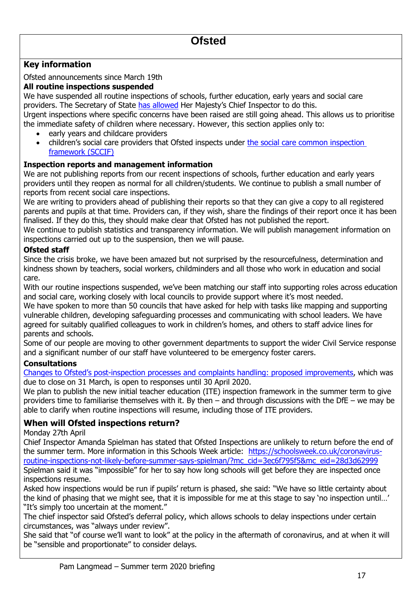# **Key information**

Ofsted announcements since March 19th

## **All routine inspections suspended**

We have suspended all routine inspections of schools, further education, early years and social care providers. The Secretary of State [has allowed](https://www.gov.uk/government/news/ofsted-suspends-all-routine-inspections) Her Majesty's Chief Inspector to do this.

Urgent inspections where specific concerns have been raised are still going ahead. This allows us to prioritise the immediate safety of children where necessary. However, this section applies only to:

- early years and childcare providers
- children's social care providers that Ofsted inspects under [the social care common inspection](https://www.gov.uk/government/collections/social-care-common-inspection-framework-sccif)  [framework \(SCCIF\)](https://www.gov.uk/government/collections/social-care-common-inspection-framework-sccif)

#### **Inspection reports and management information**

We are not publishing reports from our recent inspections of schools, further education and early years providers until they reopen as normal for all children/students. We continue to publish a small number of reports from recent social care inspections.

We are writing to providers ahead of publishing their reports so that they can give a copy to all registered parents and pupils at that time. Providers can, if they wish, share the findings of their report once it has been finalised. If they do this, they should make clear that Ofsted has not published the report.

We continue to publish statistics and transparency information. We will publish management information on inspections carried out up to the suspension, then we will pause.

## **Ofsted staff**

Since the crisis broke, we have been amazed but not surprised by the resourcefulness, determination and kindness shown by teachers, social workers, childminders and all those who work in education and social care.

With our routine inspections suspended, we've been matching our staff into supporting roles across education and social care, working closely with local councils to provide support where it's most needed.

We have spoken to more than 50 councils that have asked for help with tasks like mapping and supporting vulnerable children, developing safeguarding processes and communicating with school leaders. We have agreed for suitably qualified colleagues to work in children's homes, and others to staff advice lines for parents and schools.

Some of our people are moving to other government departments to support the wider Civil Service response and a significant number of our staff have volunteered to be emergency foster carers.

## **Consultations**

Changes to Ofsted's post[-inspection processes and complaints handling: proposed improvements,](https://www.gov.uk/government/consultations/changes-to-ofsteds-post-inspection-processes-and-complaints-handling-proposed-improvements) which was due to close on 31 March, is open to responses until 30 April 2020.

We plan to publish the new initial teacher education (ITE) inspection framework in the summer term to give providers time to familiarise themselves with it. By then – and through discussions with the DfE – we may be able to clarify when routine inspections will resume, including those of ITE providers.

## **When will Ofsted inspections return?**

Monday 27th April

Chief Inspector Amanda Spielman has stated that Ofsted Inspections are unlikely to return before the end of the summer term. More information in this Schools Week article: [https://schoolsweek.co.uk/coronavirus](https://eur02.safelinks.protection.outlook.com/?url=https%3A%2F%2Fschoolsweek.co.uk%2Fcoronavirus-routine-inspections-not-likely-before-summer-says-spielman%2F%3Fmc_cid%3D3ec6f795f5%26mc_eid%3D28d3d62999&data=02%7C01%7C%7C72461b113a6e40ff546c08d7eb3fb2d5%7Ca8b4324f155c4215a0f17ed8cc9a992f%7C0%7C0%7C637236531573741175&sdata=OX8rvPTbL2d6o%2BnA0c%2BRmK2jxZOtJ61wLvCZoTG52V4%3D&reserved=0)[routine-inspections-not-likely-before-summer-says-spielman/?mc\\_cid=3ec6f795f5&mc\\_eid=28d3d62999](https://eur02.safelinks.protection.outlook.com/?url=https%3A%2F%2Fschoolsweek.co.uk%2Fcoronavirus-routine-inspections-not-likely-before-summer-says-spielman%2F%3Fmc_cid%3D3ec6f795f5%26mc_eid%3D28d3d62999&data=02%7C01%7C%7C72461b113a6e40ff546c08d7eb3fb2d5%7Ca8b4324f155c4215a0f17ed8cc9a992f%7C0%7C0%7C637236531573741175&sdata=OX8rvPTbL2d6o%2BnA0c%2BRmK2jxZOtJ61wLvCZoTG52V4%3D&reserved=0) Spielman said it was "impossible" for her to say how long schools will get before they are inspected once inspections resume.

Asked how inspections would be run if pupils' return is phased, she said: "We have so little certainty about the kind of phasing that we might see, that it is impossible for me at this stage to say 'no inspection until…' "It's simply too uncertain at the moment."

The chief inspector said Ofsted's deferral policy, which allows schools to delay inspections under certain circumstances, was "always under review".

She said that "of course we'll want to look" at the policy in the aftermath of coronavirus, and at when it will be "sensible and proportionate" to consider delays.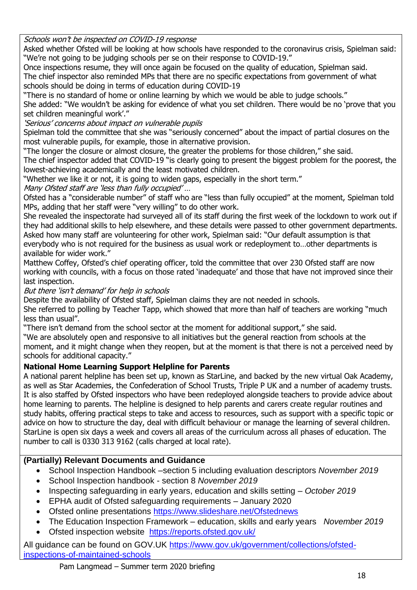Schools won't be inspected on COVID-19 response

Asked whether Ofsted will be looking at how schools have responded to the coronavirus crisis, Spielman said: "We're not going to be judging schools per se on their response to COVID-19."

Once inspections resume, they will once again be focused on the quality of education, Spielman said. The chief inspector also reminded MPs that there are no specific expectations from government of what schools should be doing in terms of education during COVID-19

"There is no standard of home or online learning by which we would be able to judge schools."

She added: "We wouldn't be asking for evidence of what you set children. There would be no 'prove that you set children meaningful work'."

'Serious' concerns about impact on vulnerable pupils

Spielman told the committee that she was "seriously concerned" about the impact of partial closures on the most vulnerable pupils, for example, those in alternative provision.

"The longer the closure or almost closure, the greater the problems for those children," she said.

The chief inspector added that COVID-19 "is clearly going to present the biggest problem for the poorest, the lowest-achieving academically and the least motivated children.

"Whether we like it or not, it is going to widen gaps, especially in the short term."

# Many Ofsted staff are 'less than fully occupied' …

Ofsted has a "considerable number" of staff who are "less than fully occupied" at the moment, Spielman told MPs, adding that her staff were "very willing" to do other work.

She revealed the inspectorate had surveyed all of its staff during the first week of the lockdown to work out if they had additional skills to help elsewhere, and these details were passed to other government departments. Asked how many staff are volunteering for other work, Spielman said: "Our default assumption is that everybody who is not required for the business as usual work or redeployment to…other departments is available for wider work."

Matthew Coffey, Ofsted's chief operating officer, told the committee that over 230 Ofsted staff are now working with councils, with a focus on those rated 'inadequate' and those that have not improved since their last inspection.

But there 'isn't demand' for help in schools

Despite the availability of Ofsted staff, Spielman claims they are not needed in schools.

She referred to polling by Teacher Tapp, which showed that more than half of teachers are working "much less than usual".

"There isn't demand from the school sector at the moment for additional support," she said.

"We are absolutely open and responsive to all initiatives but the general reaction from schools at the moment, and it might change when they reopen, but at the moment is that there is not a perceived need by schools for additional capacity."

# **National Home Learning Support Helpline for Parents**

A national parent helpline has been set up, known as StarLine, and backed by the new virtual Oak Academy, as well as Star Academies, the Confederation of School Trusts, Triple P UK and a number of academy trusts. It is also staffed by Ofsted inspectors who have been redeployed alongside teachers to provide advice about home learning to parents. The helpline is designed to help parents and carers create regular routines and study habits, offering practical steps to take and access to resources, such as support with a specific topic or advice on how to structure the day, deal with difficult behaviour or manage the learning of several children. StarLine is open six days a week and covers all areas of the curriculum across all phases of education. The number to call is 0330 313 9162 (calls charged at local rate).

# **(Partially) Relevant Documents and Guidance**

- School Inspection Handbook –section 5 including evaluation descriptors *November 2019*
- School Inspection handbook section 8 *November 2019*
- Inspecting safeguarding in early years, education and skills setting *October 2019*
- EPHA audit of Ofsted safeguarding requirements January 2020
- Ofsted online presentations<https://www.slideshare.net/Ofstednews>
- The Education Inspection Framework education, skills and early years *November 2019*
- Ofsted inspection website <https://reports.ofsted.gov.uk/>

All guidance can be found on GOV.UK [https://www.gov.uk/government/collections/ofsted](https://www.gov.uk/government/collections/ofsted-inspections-of-maintained-schools)[inspections-of-maintained-schools](https://www.gov.uk/government/collections/ofsted-inspections-of-maintained-schools)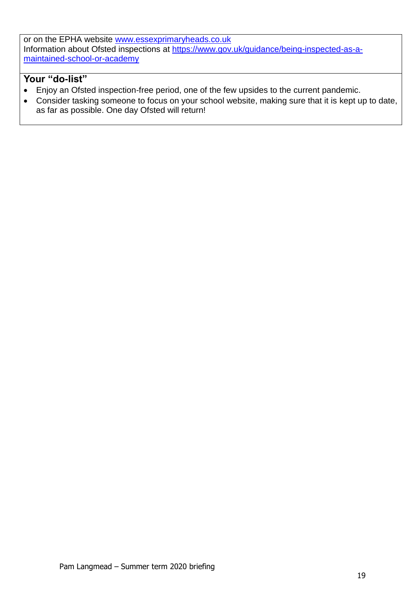or on the EPHA website [www.essexprimaryheads.co.uk](http://www.essexprimaryheads.co.uk/) Information about Ofsted inspections at [https://www.gov.uk/guidance/being-inspected-as-a](https://www.gov.uk/guidance/being-inspected-as-a-maintained-school-or-academy)[maintained-school-or-academy](https://www.gov.uk/guidance/being-inspected-as-a-maintained-school-or-academy)

- Enjoy an Ofsted inspection-free period, one of the few upsides to the current pandemic.
- Consider tasking someone to focus on your school website, making sure that it is kept up to date, as far as possible. One day Ofsted will return!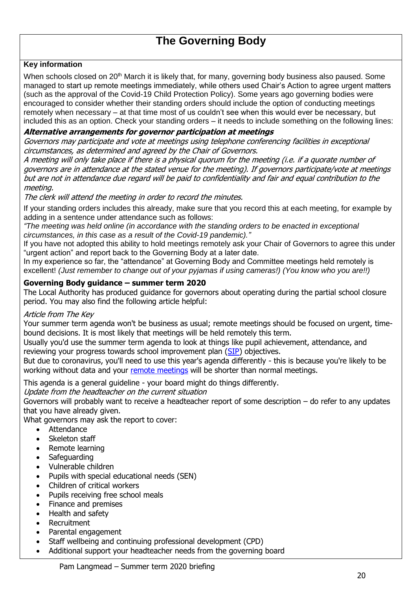# **The Governing Body**

#### **Key information**

When schools closed on 20<sup>th</sup> March it is likely that, for many, governing body business also paused. Some managed to start up remote meetings immediately, while others used Chair's Action to agree urgent matters (such as the approval of the Covid-19 Child Protection Policy). Some years ago governing bodies were encouraged to consider whether their standing orders should include the option of conducting meetings remotely when necessary – at that time most of us couldn't see when this would ever be necessary, but included this as an option. Check your standing orders – it needs to include something on the following lines:

#### **Alternative arrangements for governor participation at meetings**

Governors may participate and vote at meetings using telephone conferencing facilities in exceptional circumstances, as determined and agreed by the Chair of Governors.

A meeting will only take place if there is a physical quorum for the meeting (i.e. if a quorate number of governors are in attendance at the stated venue for the meeting). If governors participate/vote at meetings but are not in attendance due regard will be paid to confidentiality and fair and equal contribution to the meeting.

The clerk will attend the meeting in order to record the minutes.

If your standing orders includes this already, make sure that you record this at each meeting, for example by adding in a sentence under attendance such as follows:

*"The meeting was held online (in accordance with the standing orders to be enacted in exceptional circumstances, in this case as a result of the Covid-19 pandemic)."*

If you have not adopted this ability to hold meetings remotely ask your Chair of Governors to agree this under "urgent action" and report back to the Governing Body at a later date.

In my experience so far, the "attendance" at Governing Body and Committee meetings held remotely is excellent! *(Just remember to change out of your pyjamas if using cameras!) (You know who you are!!)*

#### **Governing Body guidance – summer term 2020**

The Local Authority has produced guidance for governors about operating during the partial school closure period. You may also find the following article helpful:

#### Article from The Key

Your summer term agenda won't be business as usual; remote meetings should be focused on urgent, timebound decisions. It is most likely that meetings will be held remotely this term.

Usually you'd use the summer term agenda to look at things like pupil achievement, attendance, and reviewing your progress towards school improvement plan [\(SIP\)](https://schoolgovernors.thekeysupport.com/school-improvement-and-strategy/strategic-planning/school-improvement-planning/role-of-governors-in-school-improvement-planning/?marker=content-body) objectives.

But due to coronavirus, you'll need to use this year's agenda differently - this is because you're likely to be working without data and your [remote meetings](https://schoolgovernors.thekeysupport.com/the-governing-body/meetings/meeting-procedures/governor-meetings-virtual-remote-attendance/?marker=content-body) will be shorter than normal meetings.

This agenda is a general guideline - your board might do things differently.

Update from the headteacher on the current situation

Governors will probably want to receive a headteacher report of some description – do refer to any updates that you have already given.

What governors may ask the report to cover:

- Attendance
- Skeleton staff
- Remote learning
- **Safeguarding**
- Vulnerable children
- Pupils with special educational needs (SEN)
- Children of critical workers
- Pupils receiving free school meals
- Finance and premises
- Health and safety
- Recruitment
- Parental engagement
- Staff wellbeing and continuing professional development (CPD)
- Additional support your headteacher needs from the governing board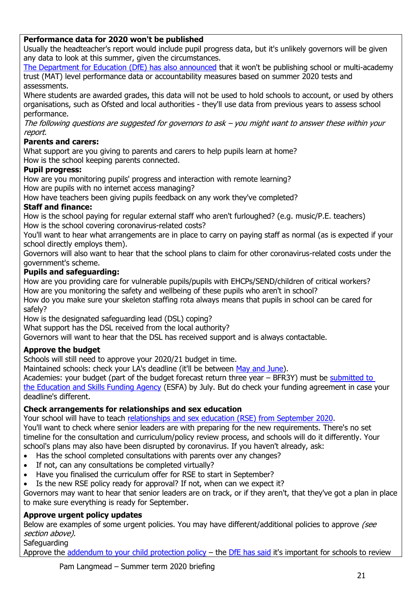## **Performance data for 2020 won't be published**

Usually the headteacher's report would include pupil progress data, but it's unlikely governors will be given any data to look at this summer, given the circumstances.

[The Department for Education \(DfE\) has also announced](https://www.gov.uk/government/publications/coronavirus-covid-19-school-and-college-performance-measures?utm_source=15a4b9ff-d5c8-466d-b975-617304cd30a7&utm_medium=email&utm_campaign=govuk-notifications&utm_content=immediate) that it won't be publishing school or multi-academy trust (MAT) level performance data or accountability measures based on summer 2020 tests and assessments.

Where students are awarded grades, this data will not be used to hold schools to account, or used by others organisations, such as Ofsted and local authorities - they'll use data from previous years to assess school performance.

The following questions are suggested for governors to ask – you might want to answer these within your report.

## **Parents and carers:**

What support are you giving to parents and carers to help pupils learn at home? How is the school keeping parents connected.

#### **Pupil progress:**

How are you monitoring pupils' progress and interaction with remote learning? How are pupils with no internet access managing?

How have teachers been giving pupils feedback on any work they've completed?

## **Staff and finance:**

How is the school paying for regular external staff who aren't furloughed? (e.g. music/P.E. teachers) How is the school covering coronavirus-related costs?

You'll want to hear what arrangements are in place to carry on paying staff as normal (as is expected if your school directly employs them).

Governors will also want to hear that the school plans to claim for other coronavirus-related costs under the government's scheme.

## **Pupils and safeguarding:**

How are you providing care for vulnerable pupils/pupils with EHCPs/SEND/children of critical workers? How are you monitoring the safety and wellbeing of these pupils who aren't in school?

How do you make sure your skeleton staffing rota always means that pupils in school can be cared for safely?

How is the designated safeguarding lead (DSL) coping?

What support has the DSL received from the local authority?

Governors will want to hear that the DSL has received support and is always contactable.

## **Approve the budget**

Schools will still need to approve your 2020/21 budget in time.

Maintained schools: check your LA's deadline (it'll be between [May and June\)](https://www.gov.uk/government/publications/schemes-for-financing-schools/schemes-for-financing-local-authority-maintained-schools#financial-controls).

Academies: your budget (part of the budget forecast return three year – BFR3Y) must be submitted to the [Education and Skills Funding Agency](https://www.gov.uk/guidance/academies-budget-forecast-return#academies-budget-forecast-return-three-year-bfr3y) (ESFA) by July. But do check your funding agreement in case your deadline's different.

## **Check arrangements for relationships and sex education**

Your school will have to teach relationships and [sex education \(RSE\) from September 2020.](https://schoolgovernors.thekeysupport.com/curriculum-and-pupils/curriculum/school-curriculum/relationships-sex-education-changing-governors-first-steps/?marker=content-body) You'll want to check where senior leaders are with preparing for the new requirements. There's no set timeline for the consultation and curriculum/policy review process, and schools will do it differently. Your school's plans may also have been disrupted by coronavirus. If you haven't already, ask:

- Has the school completed consultations with parents over any changes?
- If not, can any consultations be completed virtually?
- Have you finalised the curriculum offer for RSE to start in September?
- Is the new RSE policy ready for approval? If not, when can we expect it?

Governors may want to hear that senior leaders are on track, or if they aren't, that they've got a plan in place to make sure everything is ready for September.

## **Approve urgent policy updates**

Below are examples of some urgent policies. You may have different/additional policies to approve (see section above).

**Safeguarding** 

Approve the [addendum to your child protection policy](https://schoolgovernors.thekeysupport.com/policy-bank/pastoral-care-policies/coronavirus-how-approve-child-protection-policy-addendum/?marker=content-body) – the [DfE has said](https://www.gov.uk/government/publications/covid-19-safeguarding-in-schools-colleges-and-other-providers/coronavirus-covid-19-safeguarding-in-schools-colleges-and-other-providers#child-protection-policy) it's important for schools to review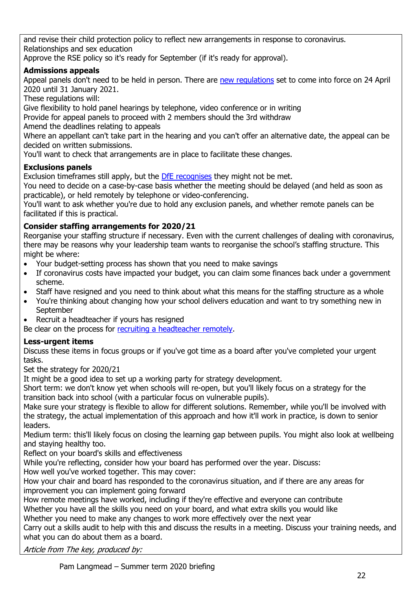and revise their child protection policy to reflect new arrangements in response to coronavirus. Relationships and sex education

Approve the RSE policy so it's ready for September (if it's ready for approval).

## **Admissions appeals**

Appeal panels don't need to be held in person. There are [new regulations](https://www.gov.uk/government/publications/admission-appeals-for-school-places/coronavirus-covid-19-school-admission-appeals) set to come into force on 24 April 2020 until 31 January 2021.

These regulations will:

Give flexibility to hold panel hearings by telephone, video conference or in writing

Provide for appeal panels to proceed with 2 members should the 3rd withdraw

Amend the deadlines relating to appeals

Where an appellant can't take part in the hearing and you can't offer an alternative date, the appeal can be decided on written submissions.

You'll want to check that arrangements are in place to facilitate these changes.

## **Exclusions panels**

Exclusion timeframes still apply, but the [DfE recognises](https://www.gov.uk/government/publications/covid-19-school-closures/guidance-for-schools-about-temporarily-closing#exclusions) they might not be met.

You need to decide on a case-by-case basis whether the meeting should be delayed (and held as soon as practicable), or held remotely by telephone or video-conferencing.

You'll want to ask whether you're due to hold any exclusion panels, and whether remote panels can be facilitated if this is practical.

## **Consider staffing arrangements for 2020/21**

Reorganise your staffing structure if necessary. Even with the current challenges of dealing with coronavirus, there may be reasons why your leadership team wants to reorganise the school's staffing structure. This might be where:

- Your budget-setting process has shown that you need to make savings
- If coronavirus costs have impacted your budget, you can claim some finances back under a government scheme.
- Staff have resigned and you need to think about what this means for the staffing structure as a whole
- You're thinking about changing how your school delivers education and want to try something new in September
- Recruit a headteacher if yours has resigned
- Be clear on the process for [recruiting a headteacher remotely.](https://schoolgovernors.thekeysupport.com/school-staff/staff-recruitment/recruitment-senior-leaders/headteacher-recruitment-during-coronavirus-how-manage-it-remotely/?marker=content-body)

## **Less-urgent items**

Discuss these items in focus groups or if you've got time as a board after you've completed your urgent tasks.

Set the strategy for 2020/21

It might be a good idea to set up a working party for strategy development.

Short term: we don't know yet when schools will re-open, but you'll likely focus on a strategy for the transition back into school (with a particular focus on vulnerable pupils).

Make sure your strategy is flexible to allow for different solutions. Remember, while you'll be involved with the strategy, the actual implementation of this approach and how it'll work in practice, is down to senior leaders.

Medium term: this'll likely focus on closing the learning gap between pupils. You might also look at wellbeing and staying healthy too.

Reflect on your board's skills and effectiveness

While you're reflecting, consider how your board has performed over the year. Discuss:

How well you've worked together. This may cover:

How your chair and board has responded to the coronavirus situation, and if there are any areas for improvement you can implement going forward

How remote meetings have worked, including if they're effective and everyone can contribute Whether you have all the skills you need on your board, and what extra skills you would like

Whether you need to make any changes to work more effectively over the next year

Carry out a skills audit to help with this and discuss the results in a meeting. Discuss your training needs, and what you can do about them as a board.

Article from The key, produced by: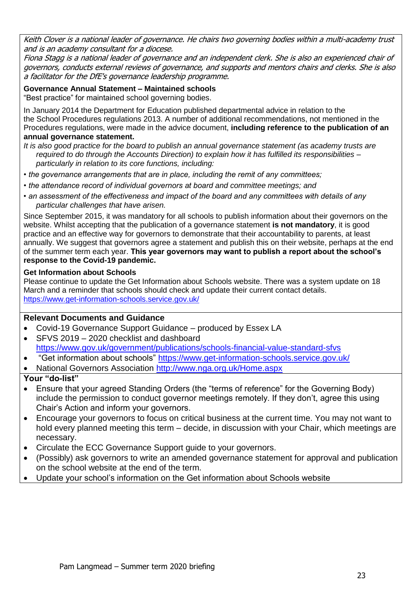Keith Clover is a national leader of governance. He chairs two governing bodies within a multi-academy trust and is an academy consultant for a diocese.

Fiona Stagg is a national leader of governance and an independent clerk. She is also an experienced chair of governors, conducts external reviews of governance, and supports and mentors chairs and clerks. She is also a facilitator for the DfE's governance leadership programme.

#### **Governance Annual Statement – Maintained schools**

"Best practice" for maintained school governing bodies.

In January 2014 the Department for Education published departmental advice in relation to the the School Procedures regulations 2013. A number of additional recommendations, not mentioned in the Procedures regulations, were made in the advice document, **including reference to the publication of an annual governance statement.**

- *It is also good practice for the board to publish an annual governance statement (as academy trusts are required to do through the Accounts Direction) to explain how it has fulfilled its responsibilities – particularly in relation to its core functions, including:*
- *the governance arrangements that are in place, including the remit of any committees;*
- *the attendance record of individual governors at board and committee meetings; and*
- *an assessment of the effectiveness and impact of the board and any committees with details of any particular challenges that have arisen.*

Since September 2015, it was mandatory for all schools to publish information about their governors on the website. Whilst accepting that the publication of a governance statement **is not mandatory**, it is good practice and an effective way for governors to demonstrate that their accountability to parents, at least annually. We suggest that governors agree a statement and publish this on their website, perhaps at the end of the summer term each year. **This year governors may want to publish a report about the school's response to the Covid-19 pandemic.**

#### **Get Information about Schools**

Please continue to update the Get Information about Schools website. There was a system update on 18 March and a reminder that schools should check and update their current contact details. <https://www.get-information-schools.service.gov.uk/>

#### **Relevant Documents and Guidance**

- Covid-19 Governance Support Guidance produced by Essex LA
- SFVS 2019 2020 checklist and dashboard <https://www.gov.uk/government/publications/schools-financial-value-standard-sfvs>
- "Get information about schools"<https://www.get-information-schools.service.gov.uk/>
- National Governors Association<http://www.nga.org.uk/Home.aspx>

- Ensure that your agreed Standing Orders (the "terms of reference" for the Governing Body) include the permission to conduct governor meetings remotely. If they don't, agree this using Chair's Action and inform your governors.
- Encourage your governors to focus on critical business at the current time. You may not want to hold every planned meeting this term – decide, in discussion with your Chair, which meetings are necessary.
- Circulate the ECC Governance Support guide to your governors.
- (Possibly) ask governors to write an amended governance statement for approval and publication on the school website at the end of the term.
- Update your school's information on the Get information about Schools website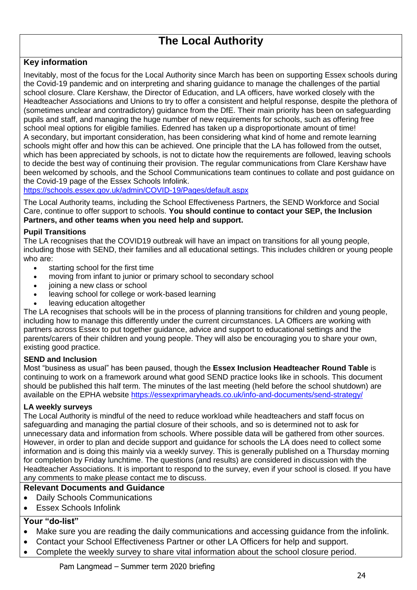# **The Local Authority**

## **Key information**

Inevitably, most of the focus for the Local Authority since March has been on supporting Essex schools during the Covid-19 pandemic and on interpreting and sharing guidance to manage the challenges of the partial school closure. Clare Kershaw, the Director of Education, and LA officers, have worked closely with the Headteacher Associations and Unions to try to offer a consistent and helpful response, despite the plethora of (sometimes unclear and contradictory) guidance from the DfE. Their main priority has been on safeguarding pupils and staff, and managing the huge number of new requirements for schools, such as offering free school meal options for eligible families. Edenred has taken up a disproportionate amount of time! A secondary, but important consideration, has been considering what kind of home and remote learning schools might offer and how this can be achieved. One principle that the LA has followed from the outset, which has been appreciated by schools, is not to dictate how the requirements are followed, leaving schools to decide the best way of continuing their provision. The regular communications from Clare Kershaw have been welcomed by schools, and the School Communications team continues to collate and post guidance on the Covid-19 page of the Essex Schools Infolink.

#### <https://schools.essex.gov.uk/admin/COVID-19/Pages/default.aspx>

The Local Authority teams, including the School Effectiveness Partners, the SEND Workforce and Social Care, continue to offer support to schools. **You should continue to contact your SEP, the Inclusion Partners, and other teams when you need help and support.** 

#### **Pupil Transitions**

The LA recognises that the COVID19 outbreak will have an impact on transitions for all young people, including those with SEND, their families and all educational settings. This includes children or young people who are:

- starting school for the first time
- moving from infant to junior or primary school to secondary school
- joining a new class or school
- leaving school for college or work-based learning
- leaving education altogether

The LA recognises that schools will be in the process of planning transitions for children and young people, including how to manage this differently under the current circumstances. LA Officers are working with partners across Essex to put together guidance, advice and support to educational settings and the parents/carers of their children and young people. They will also be encouraging you to share your own, existing good practice.

#### **SEND and Inclusion**

Most "business as usual" has been paused, though the **Essex Inclusion Headteacher Round Table** is continuing to work on a framework around what good SEND practice looks like in schools. This document should be published this half term. The minutes of the last meeting (held before the school shutdown) are available on the EPHA website<https://essexprimaryheads.co.uk/info-and-documents/send-strategy/>

#### **LA weekly surveys**

The Local Authority is mindful of the need to reduce workload while headteachers and staff focus on safeguarding and managing the partial closure of their schools, and so is determined not to ask for unnecessary data and information from schools. Where possible data will be gathered from other sources. However, in order to plan and decide support and guidance for schools the LA does need to collect some information and is doing this mainly via a weekly survey. This is generally published on a Thursday morning for completion by Friday lunchtime. The questions (and results) are considered in discussion with the Headteacher Associations. It is important to respond to the survey, even if your school is closed. If you have any comments to make please contact me to discuss.

## **Relevant Documents and Guidance**

- Daily Schools Communications
- Essex Schools Infolink

- Make sure you are reading the daily communications and accessing guidance from the infolink.
- Contact your School Effectiveness Partner or other LA Officers for help and support.
- Complete the weekly survey to share vital information about the school closure period.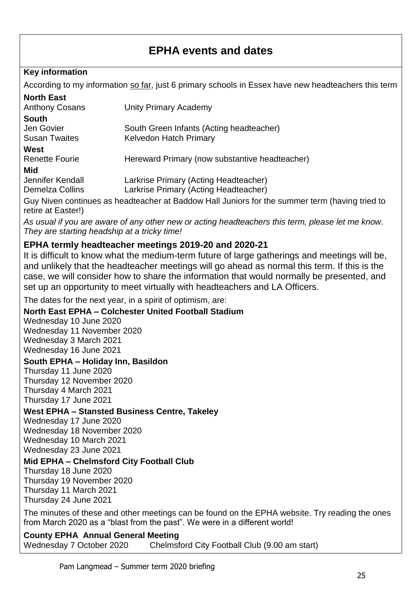# **EPHA events and dates**

## **Key information**

According to my information so far, just 6 primary schools in Essex have new headteachers this term

| <b>North East</b>     |                                                |
|-----------------------|------------------------------------------------|
| <b>Anthony Cosans</b> | <b>Unity Primary Academy</b>                   |
| <b>South</b>          |                                                |
| Jen Govier            | South Green Infants (Acting headteacher)       |
| <b>Susan Twaites</b>  | <b>Kelvedon Hatch Primary</b>                  |
| West                  |                                                |
| <b>Renette Fourie</b> | Hereward Primary (now substantive headteacher) |
| Mid                   |                                                |
| Jennifer Kendall      | Larkrise Primary (Acting Headteacher)          |
| Demelza Collins       | Larkrise Primary (Acting Headteacher)          |
|                       |                                                |

Guy Niven continues as headteacher at Baddow Hall Juniors for the summer term (having tried to retire at Easter!)

*As usual if you are aware of any other new or acting headteachers this term, please let me know. They are starting headship at a tricky time!* 

# **EPHA termly headteacher meetings 2019-20 and 2020-21**

It is difficult to know what the medium-term future of large gatherings and meetings will be, and unlikely that the headteacher meetings will go ahead as normal this term. If this is the case, we will consider how to share the information that would normally be presented, and set up an opportunity to meet virtually with headteachers and LA Officers.

The dates for the next year, in a spirit of optimism, are:

## **North East EPHA – Colchester United Football Stadium**

Wednesday 10 June 2020 Wednesday 11 November 2020 Wednesday 3 March 2021 Wednesday 16 June 2021

#### **South EPHA – Holiday Inn, Basildon**

Thursday 11 June 2020 Thursday 12 November 2020 Thursday 4 March 2021 Thursday 17 June 2021

## **West EPHA – Stansted Business Centre, Takeley**

Wednesday 17 June 2020 Wednesday 18 November 2020 Wednesday 10 March 2021 Wednesday 23 June 2021

## **Mid EPHA – Chelmsford City Football Club**

Thursday 18 June 2020 Thursday 19 November 2020 Thursday 11 March 2021 Thursday 24 June 2021

The minutes of these and other meetings can be found on the EPHA website. Try reading the ones from March 2020 as a "blast from the past". We were in a different world!

## **County EPHA Annual General Meeting**

Wednesday 7 October 2020 Chelmsford City Football Club (9.00 am start)